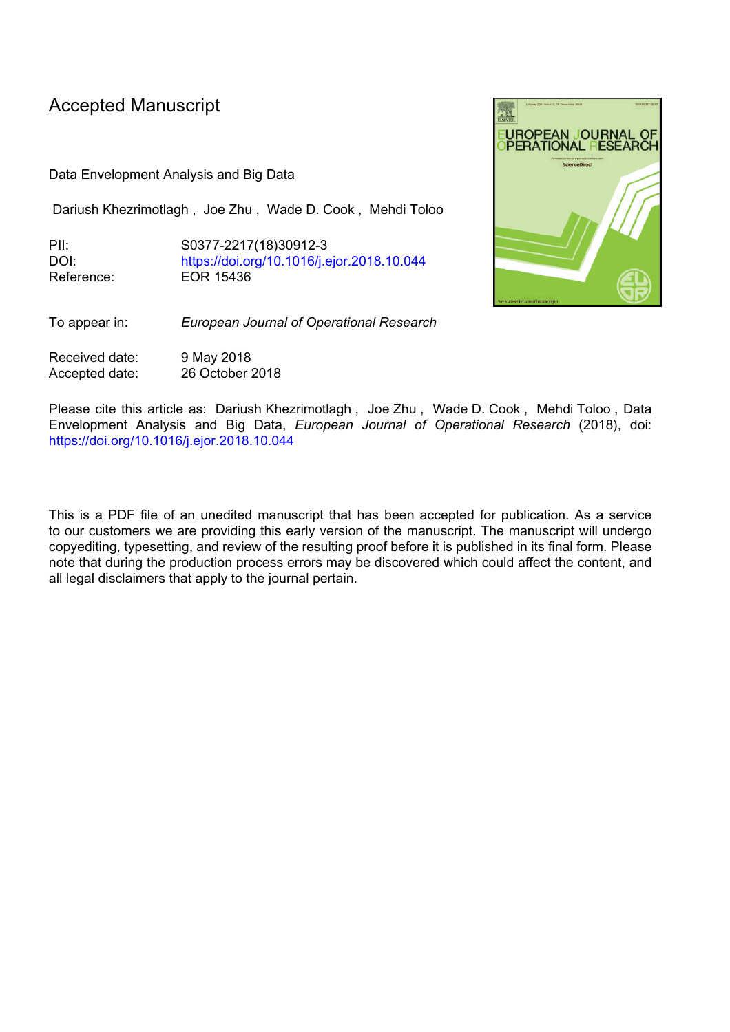# Accepted Manuscript

Data Envelopment Analysis and Big Data

Dariush Khezrimotlagh , Joe Zhu , Wade D. Cook , Mehdi Toloo

PII: S0377-2217(18)30912-3 DOI: <https://doi.org/10.1016/j.ejor.2018.10.044> Reference: EOR 15436



To appear in: *European Journal of Operational Research*

Received date: 9 May 2018 Accepted date: 26 October 2018

Please cite this article as: Dariush Khezrimotlagh , Joe Zhu , Wade D. Cook , Mehdi Toloo , Data Envelopment Analysis and Big Data, *European Journal of Operational Research* (2018), doi: <https://doi.org/10.1016/j.ejor.2018.10.044>

This is a PDF file of an unedited manuscript that has been accepted for publication. As a service to our customers we are providing this early version of the manuscript. The manuscript will undergo copyediting, typesetting, and review of the resulting proof before it is published in its final form. Please note that during the production process errors may be discovered which could affect the content, and all legal disclaimers that apply to the journal pertain.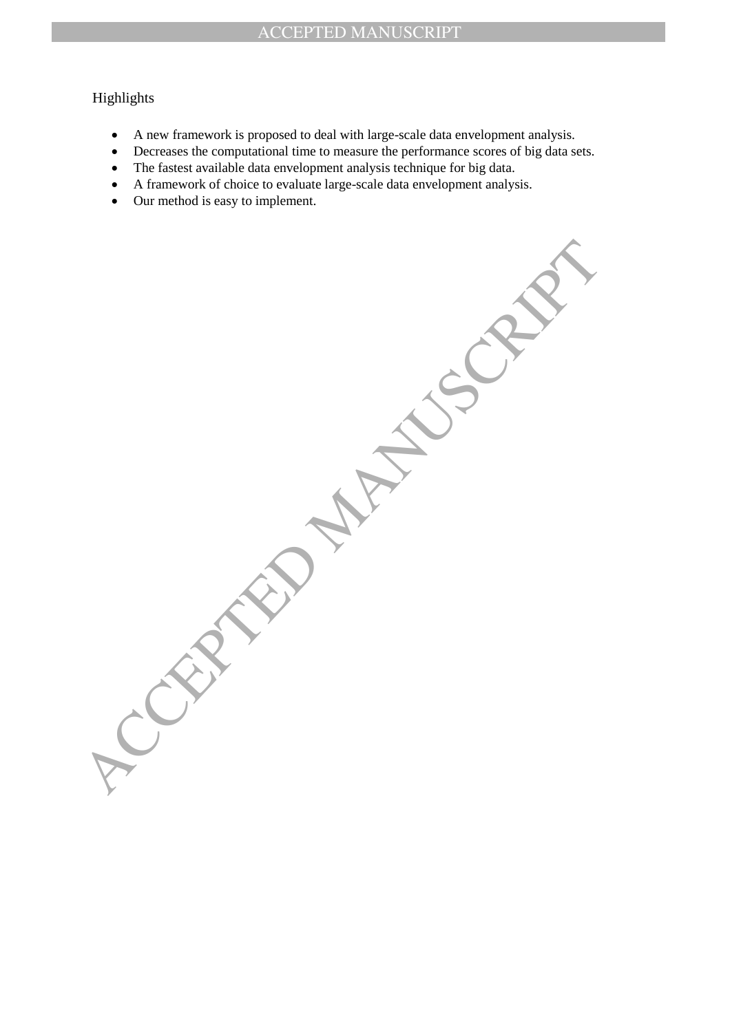## Highlights

- A new framework is proposed to deal with large-scale data envelopment analysis.
- Decreases the computational time to measure the performance scores of big data sets.
- The fastest available data envelopment analysis technique for big data.
- A framework of choice to evaluate large-scale data envelopment analysis.
- Our method is easy to implement.

ACCEPTED MANUSCRIPT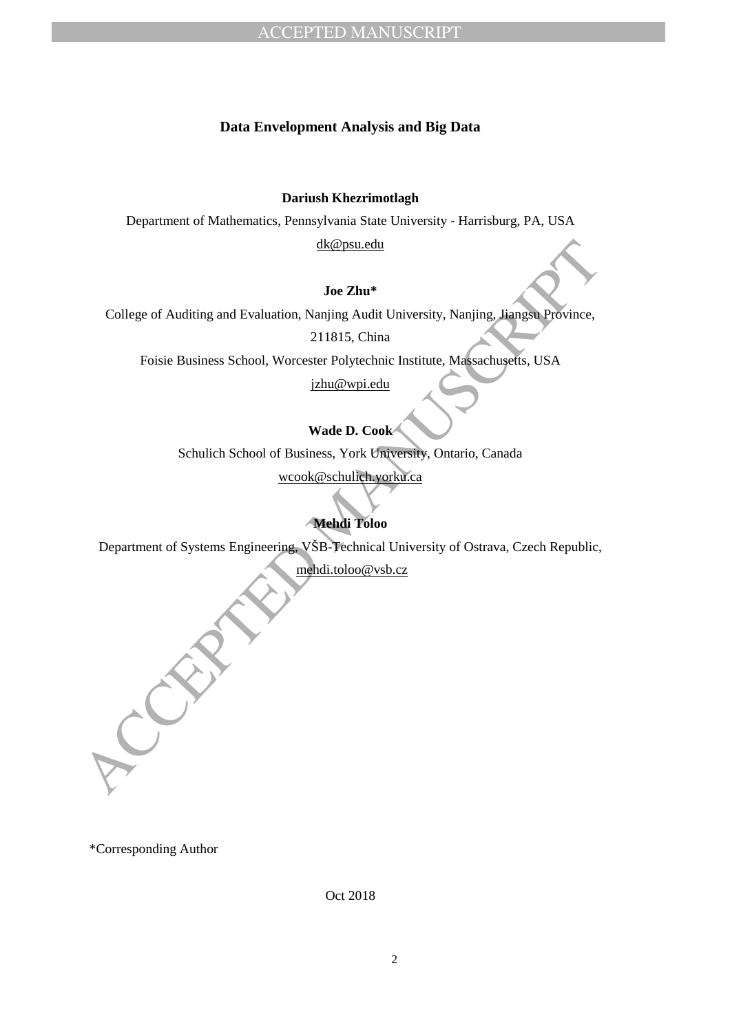## **Data Envelopment Analysis and Big Data**

**Dariush Khezrimotlagh**

Department of Mathematics, Pennsylvania State University - Harrisburg, PA, USA

dk@psu.edu

## **Joe Zhu\***

Started Toology of Auditing and Evaluation, Nanjing Audit University, Nanjing, Jiangsa Province.<br>
211815, China<br>
Foisie Business School, Worcester Polytechnic Institute. Massachusetts, USA<br>
<u>victor Oriental Transversely, O</u> College of Auditing and Evaluation, Nanjing Audit University, Nanjing, Jiangsu Province,

211815, China

Foisie Business School, Worcester Polytechnic Institute, Massachusetts, USA

jzhu@wpi.edu

**Wade D. Cook**

Schulich School of Business, York University, Ontario, Canada

wcook@schulich.yorku.ca

## **Mehdi Toloo**

Department of Systems Engineering, VŠB-Technical University of Ostrava, Czech Republic,

mehdi.toloo@vsb.cz

\*Corresponding Author

Oct 2018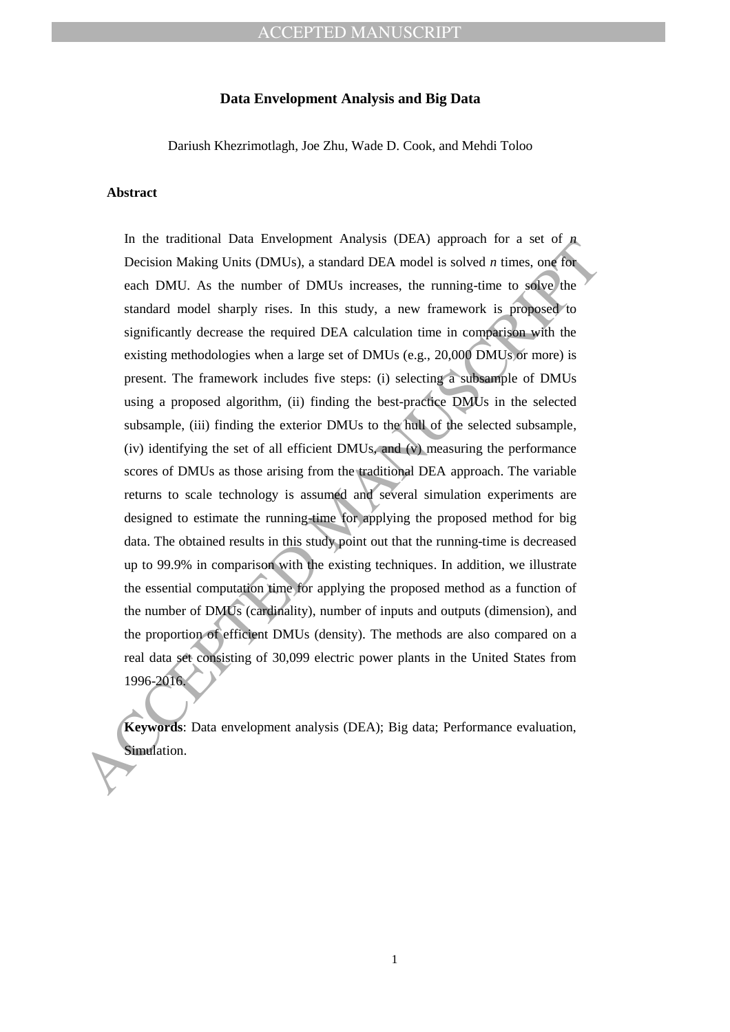## ACCEPTED MANUSCRIPT

### **Data Envelopment Analysis and Big Data**

Dariush Khezrimotlagh, Joe Zhu, Wade D. Cook, and Mehdi Toloo

#### **Abstract**

In the transmolar Data zarevoluption campus (DEA) applicant chemical and set of the set of the properties. But a set of the standard model is solved a simulation condition of the standard model is solved by standard model In the traditional Data Envelopment Analysis (DEA) approach for a set of *n* Decision Making Units (DMUs), a standard DEA model is solved *n* times, one for each DMU. As the number of DMUs increases, the running-time to solve the standard model sharply rises. In this study, a new framework is proposed to significantly decrease the required DEA calculation time in comparison with the existing methodologies when a large set of DMUs (e.g., 20,000 DMUs or more) is present. The framework includes five steps: (i) selecting a subsample of DMUs using a proposed algorithm, (ii) finding the best-practice DMUs in the selected subsample, (iii) finding the exterior DMUs to the hull of the selected subsample, (iv) identifying the set of all efficient DMUs, and (v) measuring the performance scores of DMUs as those arising from the traditional DEA approach. The variable returns to scale technology is assumed and several simulation experiments are designed to estimate the running-time for applying the proposed method for big data. The obtained results in this study point out that the running-time is decreased up to 99.9% in comparison with the existing techniques. In addition, we illustrate the essential computation time for applying the proposed method as a function of the number of DMUs (cardinality), number of inputs and outputs (dimension), and the proportion of efficient DMUs (density). The methods are also compared on a real data set consisting of 30,099 electric power plants in the United States from 1996-2016.

**Keywords**: Data envelopment analysis (DEA); Big data; Performance evaluation, Simulation.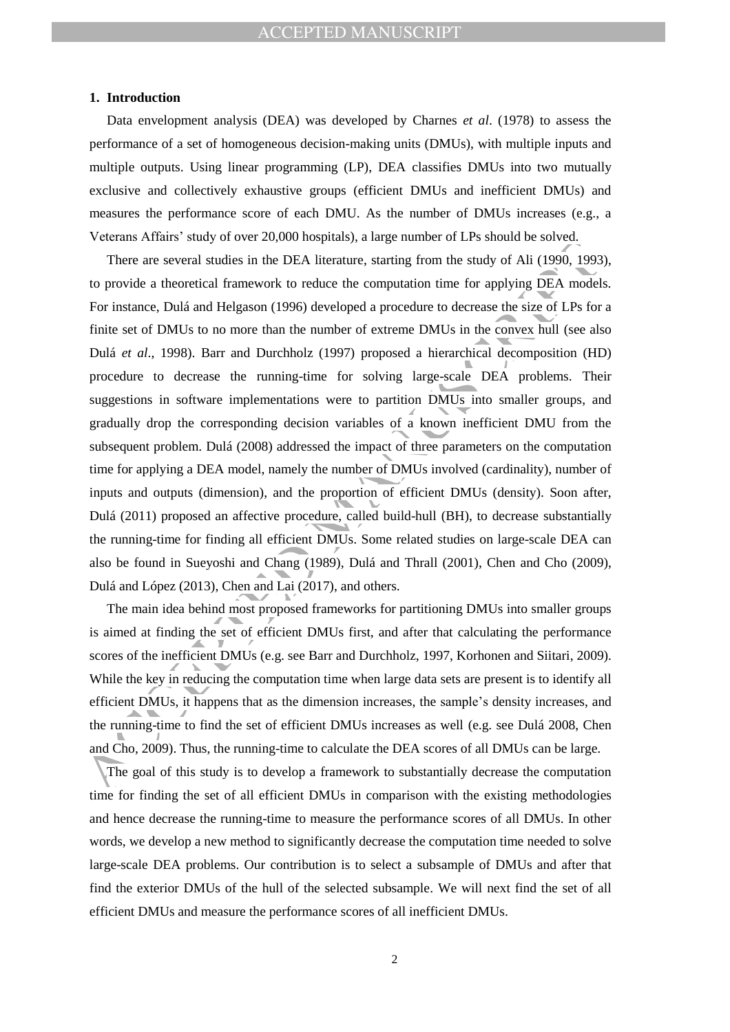#### **1. Introduction**

Data envelopment analysis (DEA) was developed by Charnes *et al*. (1978) to assess the performance of a set of homogeneous decision-making units (DMUs), with multiple inputs and multiple outputs. Using linear programming (LP), DEA classifies DMUs into two mutually exclusive and collectively exhaustive groups (efficient DMUs and inefficient DMUs) and measures the performance score of each DMU. As the number of DMUs increases (e.g., a Veterans Affairs' study of over 20,000 hospitals), a large number of LPs should be solved.

Free are several studies in the DEA literature, studing from the study of Ali (1990, 1993<br>
(D provide a theoretical framework to reduce the computation time for applying DEA model<br>
For instance, Dulá and Helgason (1996) d There are several studies in the DEA literature, starting from the study of Ali (1990, 1993), to provide a theoretical framework to reduce the computation time for applying DEA models. For instance, Dulá and Helgason (1996) developed a procedure to decrease the size of LPs for a finite set of DMUs to no more than the number of extreme DMUs in the convex hull (see also Dulá *et al*., 1998). Barr and Durchholz (1997) proposed a hierarchical decomposition (HD) procedure to decrease the running-time for solving large-scale DEA problems. Their suggestions in software implementations were to partition DMUs into smaller groups, and gradually drop the corresponding decision variables of a known inefficient DMU from the subsequent problem. Dulá (2008) addressed the impact of three parameters on the computation time for applying a DEA model, namely the number of DMUs involved (cardinality), number of inputs and outputs (dimension), and the proportion of efficient DMUs (density). Soon after, Dulá (2011) proposed an affective procedure, called build-hull (BH), to decrease substantially the running-time for finding all efficient DMUs. Some related studies on large-scale DEA can also be found in Sueyoshi and Chang (1989), Dulá and Thrall (2001), Chen and Cho (2009), Dulá and López (2013), Chen and Lai (2017), and others.

The main idea behind most proposed frameworks for partitioning DMUs into smaller groups is aimed at finding the set of efficient DMUs first, and after that calculating the performance scores of the inefficient DMUs (e.g. see Barr and Durchholz, 1997, Korhonen and Siitari, 2009). While the key in reducing the computation time when large data sets are present is to identify all efficient DMUs, it happens that as the dimension increases, the sample's density increases, and the running-time to find the set of efficient DMUs increases as well (e.g. see Dulá 2008, Chen and Cho, 2009). Thus, the running-time to calculate the DEA scores of all DMUs can be large.

The goal of this study is to develop a framework to substantially decrease the computation time for finding the set of all efficient DMUs in comparison with the existing methodologies and hence decrease the running-time to measure the performance scores of all DMUs. In other words, we develop a new method to significantly decrease the computation time needed to solve large-scale DEA problems. Our contribution is to select a subsample of DMUs and after that find the exterior DMUs of the hull of the selected subsample. We will next find the set of all efficient DMUs and measure the performance scores of all inefficient DMUs.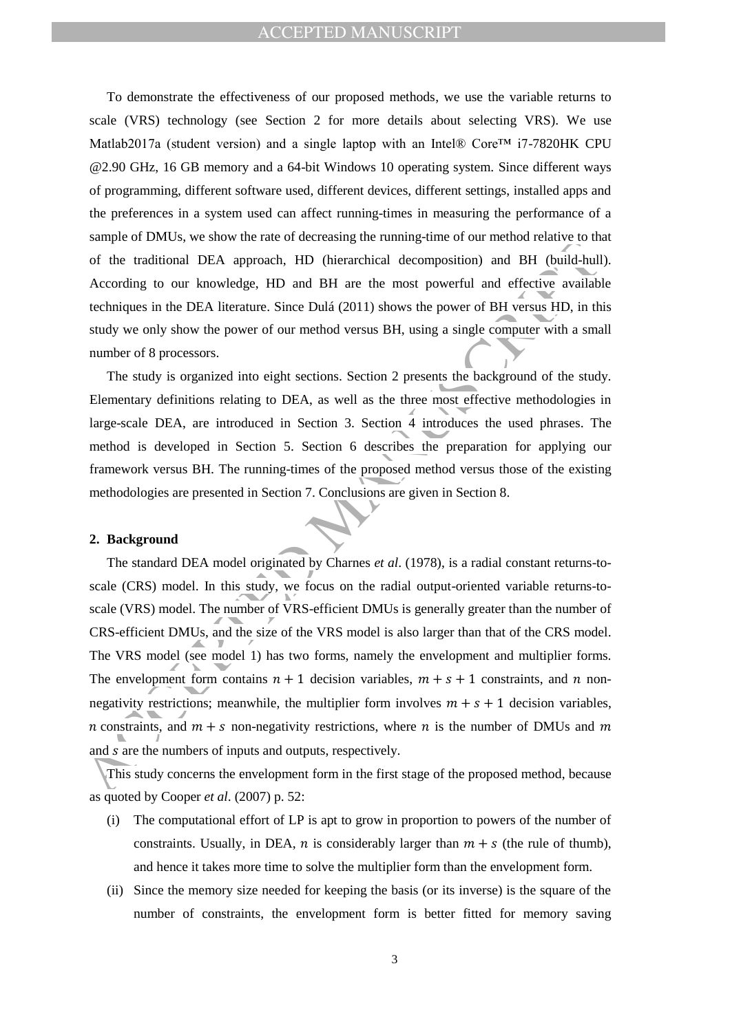## ACCEPTED MANUSCRIPT

To demonstrate the effectiveness of our proposed methods, we use the variable returns to scale (VRS) technology (see Section 2 for more details about selecting VRS). We use Matlab2017a (student version) and a single laptop with an Intel® Core<sup>TM</sup> i7-7820HK CPU @2.90 GHz, 16 GB memory and a 64-bit Windows 10 operating system. Since different ways of programming, different software used, different devices, different settings, installed apps and the preferences in a system used can affect running-times in measuring the performance of a sample of DMUs, we show the rate of decreasing the running-time of our method relative to that of the traditional DEA approach, HD (hierarchical decomposition) and BH (build-hull). According to our knowledge, HD and BH are the most powerful and effective available techniques in the DEA literature. Since Dulá (2011) shows the power of BH versus HD, in this study we only show the power of our method versus BH, using a single computer with a small number of 8 processors.

The study is organized into eight sections. Section 2 presents the background of the study. Elementary definitions relating to DEA, as well as the three most effective methodologies in large-scale DEA, are introduced in Section 3. Section 4 introduces the used phrases. The method is developed in Section 5. Section 6 describes the preparation for applying our framework versus BH. The running-times of the proposed method versus those of the existing methodologies are presented in Section 7. Conclusions are given in Section 8.

#### **2. Background**

solution to the material concernation and the tractional content of the traditional DEA approach, HD (hierarchical decomposition) and BH (build-hull<br>According to our knowledge, HD and BH are the most powerful and effectiv The standard DEA model originated by Charnes *et al*. (1978), is a radial constant returns-toscale (CRS) model. In this study, we focus on the radial output-oriented variable returns-toscale (VRS) model. The number of VRS-efficient DMUs is generally greater than the number of CRS-efficient DMUs, and the size of the VRS model is also larger than that of the CRS model. The VRS model (see model 1) has two forms, namely the envelopment and multiplier forms. The envelopment form contains  $n + 1$  decision variables,  $m + s + 1$  constraints, and n nonnegativity restrictions; meanwhile, the multiplier form involves  $m + s + 1$  decision variables, *n* constraints, and  $m + s$  non-negativity restrictions, where *n* is the number of DMUs and *m* and s are the numbers of inputs and outputs, respectively.

This study concerns the envelopment form in the first stage of the proposed method, because as quoted by Cooper *et al*. (2007) p. 52:

- (i) The computational effort of LP is apt to grow in proportion to powers of the number of constraints. Usually, in DEA, n is considerably larger than  $m + s$  (the rule of thumb), and hence it takes more time to solve the multiplier form than the envelopment form.
- (ii) Since the memory size needed for keeping the basis (or its inverse) is the square of the number of constraints, the envelopment form is better fitted for memory saving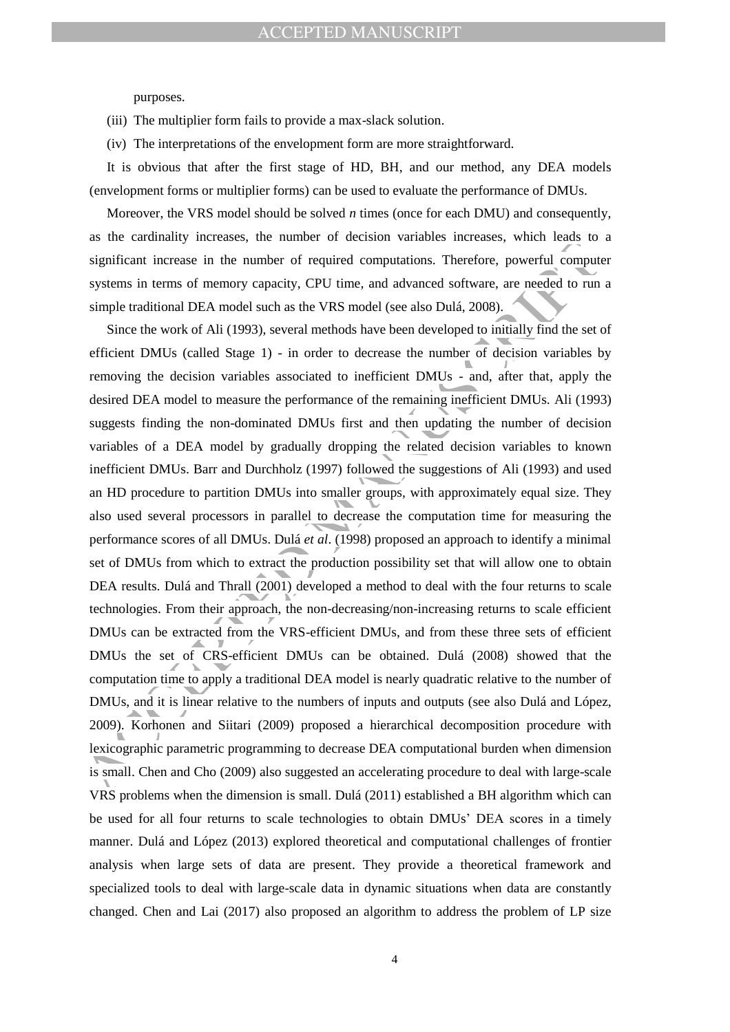purposes.

(iii) The multiplier form fails to provide a max-slack solution.

(iv) The interpretations of the envelopment form are more straightforward.

It is obvious that after the first stage of HD, BH, and our method, any DEA models (envelopment forms or multiplier forms) can be used to evaluate the performance of DMUs.

Moreover, the VRS model should be solved *n* times (once for each DMU) and consequently, as the cardinality increases, the number of decision variables increases, which leads to a significant increase in the number of required computations. Therefore, powerful computer systems in terms of memory capacity, CPU time, and advanced software, are needed to run a simple traditional DEA model such as the VRS model (see also Dulá, 2008).

as the valuation tensor of a time of extended valuation. Therefore, were the computed significant increase in the number of required computations. Therefore, powerful computes systems in terms of memory capacity. CPU time Since the work of Ali (1993), several methods have been developed to initially find the set of efficient DMUs (called Stage 1) - in order to decrease the number of decision variables by removing the decision variables associated to inefficient DMUs - and, after that, apply the desired DEA model to measure the performance of the remaining inefficient DMUs. Ali (1993) suggests finding the non-dominated DMUs first and then updating the number of decision variables of a DEA model by gradually dropping the related decision variables to known inefficient DMUs. Barr and Durchholz (1997) followed the suggestions of Ali (1993) and used an HD procedure to partition DMUs into smaller groups, with approximately equal size. They also used several processors in parallel to decrease the computation time for measuring the performance scores of all DMUs. Dulá *et al*. (1998) proposed an approach to identify a minimal set of DMUs from which to extract the production possibility set that will allow one to obtain DEA results. Dulá and Thrall (2001) developed a method to deal with the four returns to scale technologies. From their approach, the non-decreasing/non-increasing returns to scale efficient DMUs can be extracted from the VRS-efficient DMUs, and from these three sets of efficient DMUs the set of CRS-efficient DMUs can be obtained. Dulá (2008) showed that the computation time to apply a traditional DEA model is nearly quadratic relative to the number of DMUs, and it is linear relative to the numbers of inputs and outputs (see also Dulá and López, 2009). Korhonen and Siitari (2009) proposed a hierarchical decomposition procedure with lexicographic parametric programming to decrease DEA computational burden when dimension is small. Chen and Cho (2009) also suggested an accelerating procedure to deal with large-scale VRS problems when the dimension is small. Dulá (2011) established a BH algorithm which can be used for all four returns to scale technologies to obtain DMUs' DEA scores in a timely manner. Dulá and López (2013) explored theoretical and computational challenges of frontier analysis when large sets of data are present. They provide a theoretical framework and specialized tools to deal with large-scale data in dynamic situations when data are constantly changed. Chen and Lai (2017) also proposed an algorithm to address the problem of LP size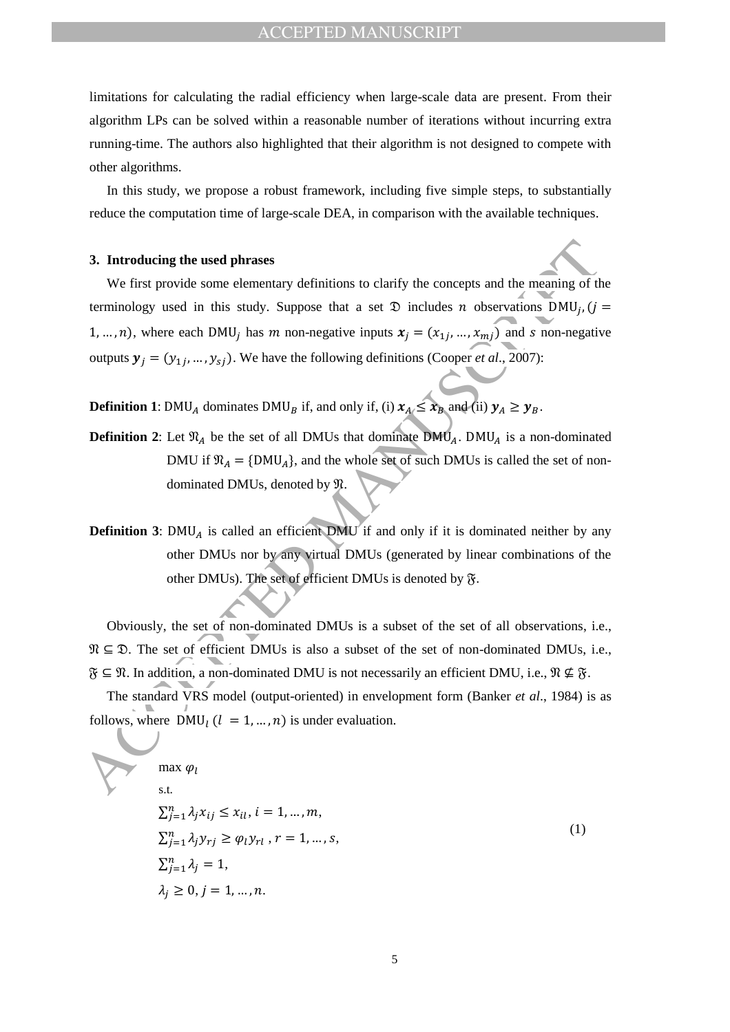limitations for calculating the radial efficiency when large-scale data are present. From their algorithm LPs can be solved within a reasonable number of iterations without incurring extra running-time. The authors also highlighted that their algorithm is not designed to compete with other algorithms.

In this study, we propose a robust framework, including five simple steps, to substantially reduce the computation time of large-scale DEA, in comparison with the available techniques.

#### **3. Introducing the used phrases**

**3. Introducing the used phrases**<br>We first provide some elementary definitions to clarify the concepts and the meaning of iterminology used in this study. Suppose that a set  $\mathfrak{D}$  includes *n* observations DMU<sub>I</sub>, (*j* We first provide some elementary definitions to clarify the concepts and the meaning of the terminology used in this study. Suppose that a set  $\mathfrak D$  includes n observations DMU<sub>i</sub>, 1, ..., n), where each DMU<sub>i</sub> has m non-negative inputs  $x_i = (x_{1i}, ..., x_{mi})$  and s non-negative outputs  $y_i = (y_{1i}, ..., y_{si})$ . We have the following definitions (Cooper *et al.*, 2007):

**Definition 1**: DMU<sub>A</sub> dominates DMU<sub>B</sub> if, and only if, (i)  $x_A \le x_B$  and (ii)  $y_A \ge y_B$ .

- **Definition 2:** Let  $\mathfrak{N}_A$  be the set of all DMUs that dominate DMU<sub>A</sub>. DMU<sub>A</sub> is a non-dominated DMU if  $\mathfrak{N}_A = \{DMU_A\}$ , and the whole set of such DMUs is called the set of nondominated DMUs, denoted by  $\mathfrak{N}.$
- **Definition 3**: DMU<sub>A</sub> is called an efficient DMU if and only if it is dominated neither by any other DMUs nor by any virtual DMUs (generated by linear combinations of the other DMUs). The set of efficient DMUs is denoted by  $\mathfrak{F}$ .

Obviously, the set of non-dominated DMUs is a subset of the set of all observations, i.e.,  $\mathfrak{N} \subseteq \mathfrak{D}$ . The set of efficient DMUs is also a subset of the set of non-dominated DMUs, i.e.,  $\mathfrak{F} \subseteq \mathfrak{N}$ . In addition, a non-dominated DMU is not necessarily an efficient DMU, i.e.,  $\mathfrak{N} \nsubseteq \mathfrak{F}$ .

The standard VRS model (output-oriented) in envelopment form (Banker *et al*., 1984) is as follows, where  $\overline{DMU}_l$   $(l = 1, ..., n)$  is under evaluation.

$$
\max \varphi_l
$$
\ns.t.\n
$$
\sum_{j=1}^n \lambda_j x_{ij} \le x_{il}, i = 1, ..., m,
$$
\n
$$
\sum_{j=1}^n \lambda_j y_{rj} \ge \varphi_l y_{rl}, r = 1, ..., s,
$$
\n
$$
\sum_{j=1}^n \lambda_j = 1,
$$
\n
$$
\lambda_i \ge 0, j = 1, ..., n.
$$
\n(1)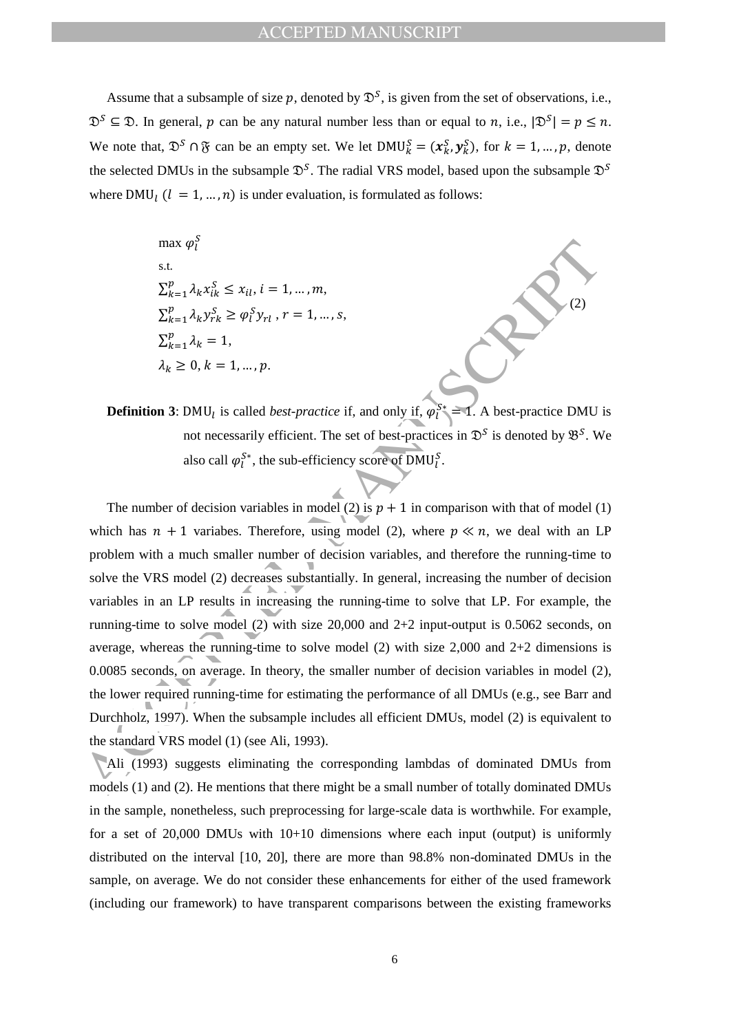Assume that a subsample of size p, denoted by  $\mathcal{D}^S$ , is given from the set of observations, i.e.,  $\mathfrak{D}^S \subseteq \mathfrak{D}$ . In general, p can be any natural number less than or equal to n, i.e.,  $|\mathfrak{D}^S| = p \le n$ . We note that,  $\mathfrak{D}^S \cap \mathfrak{F}$  can be an empty set. We let  $DMU_k^S = (x_k^S, y_k^S)$ , for  $k = 1, ..., p$ , denote the selected DMUs in the subsample  $\mathfrak{D}^S$ . The radial VRS model, based upon the subsample  $\mathfrak{D}^S$ where DMU<sub>l</sub>  $(l = 1, ..., n)$  is under evaluation, is formulated as follows:

> max  $\varphi_l^S$ s.t.  $\sum_{k=1}^{p} \lambda_k x_{ik}^S \le x_{il}, i = 1, ..., m,$  $\sum_{k=1}^{p} \lambda$  $_{k=1}^{p} \lambda_{k} y_{rk}^{S} \ge \varphi_{l}^{S} y_{rl}$ ,  $r = 1, ..., s$ ,  $\sum_{k=1}^p \lambda_k = 1$ ,  $\lambda_k \geq 0, k = 1, ..., p.$

**Definition 3**: DMU<sub>l</sub> is called *best-practice* if, and only if,  $\varphi_l^{S*} = 1$ . A best-practice DMU is not necessarily efficient. The set of best-practices in  $\mathcal{D}^S$  is denoted by  $\mathcal{B}^S$ . We also call  $\varphi_l^{S^*}$ , the sub-efficiency score of DMU<sub>i</sub>.

(2)

max  $\hat{q}_1^2$ <br>
st.<br>  $\sum_{k=1}^{p} \lambda_k x_{0k}^2 \le x_{0k}$ ,  $i = 1,..., m$ ,<br>  $\sum_{k=1}^{p} \lambda_k y_{pt}^2 \ge \varphi_1^5 y_{rt}$ ,  $r = 1,..., s$ ,<br>  $\sum_{k=1}^{p} \lambda_k = 1$ ,<br>  $\lambda_k \ge 0$ ,  $k = 1,..., p$ .<br> **Definition 3:** DMU<sub>i</sub> is called *bost-practice* if, and only if, The number of decision variables in model (2) is  $p + 1$  in comparison with that of model (1) which has  $n + 1$  variabes. Therefore, using model (2), where  $p \ll n$ , we deal with an LP problem with a much smaller number of decision variables, and therefore the running-time to solve the VRS model (2) decreases substantially. In general, increasing the number of decision variables in an LP results in increasing the running-time to solve that LP. For example, the running-time to solve model (2) with size 20,000 and 2+2 input-output is 0.5062 seconds, on average, whereas the running-time to solve model  $(2)$  with size 2,000 and 2+2 dimensions is 0.0085 seconds, on average. In theory, the smaller number of decision variables in model (2), the lower required running-time for estimating the performance of all DMUs (e.g., see Barr and Durchholz, 1997). When the subsample includes all efficient DMUs, model (2) is equivalent to the standard VRS model (1) (see Ali, 1993).

Ali (1993) suggests eliminating the corresponding lambdas of dominated DMUs from models (1) and (2). He mentions that there might be a small number of totally dominated DMUs in the sample, nonetheless, such preprocessing for large-scale data is worthwhile. For example, for a set of 20,000 DMUs with 10+10 dimensions where each input (output) is uniformly distributed on the interval [10, 20], there are more than 98.8% non-dominated DMUs in the sample, on average. We do not consider these enhancements for either of the used framework (including our framework) to have transparent comparisons between the existing frameworks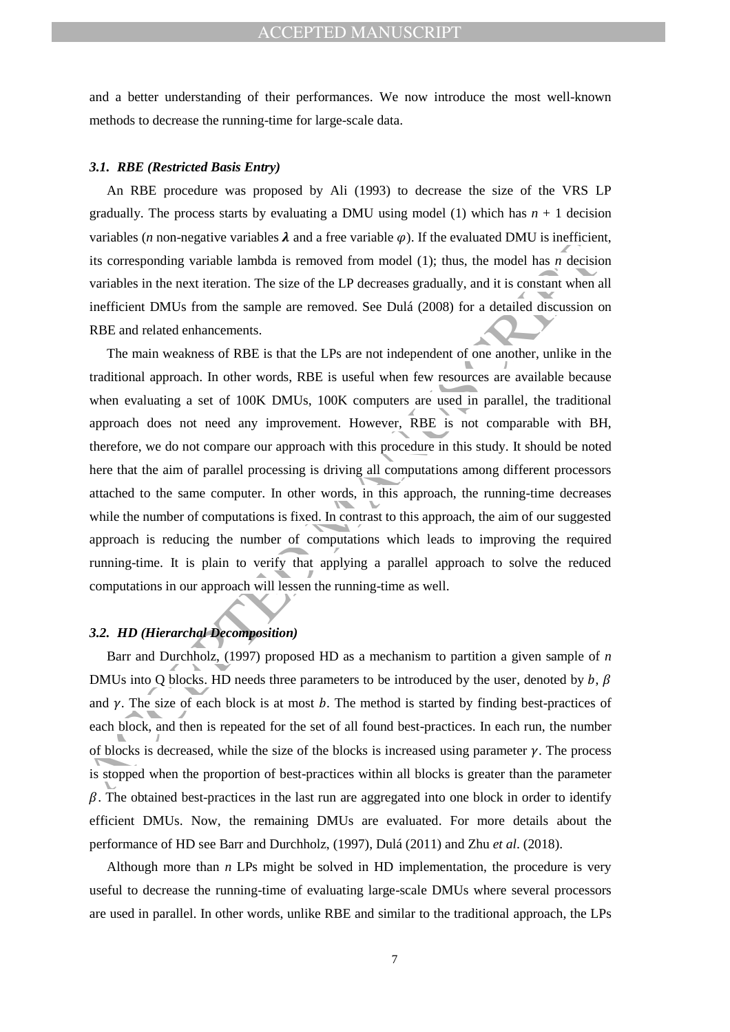and a better understanding of their performances. We now introduce the most well-known methods to decrease the running-time for large-scale data.

#### *3.1. RBE (Restricted Basis Entry)*

An RBE procedure was proposed by Ali (1993) to decrease the size of the VRS LP gradually. The process starts by evaluating a DMU using model (1) which has  $n + 1$  decision variables (*n* non-negative variables  $\lambda$  and a free variable  $\varphi$ ). If the evaluated DMU is inefficient, its corresponding variable lambda is removed from model (1); thus, the model has *n* decision variables in the next iteration. The size of the LP decreases gradually, and it is constant when all inefficient DMUs from the sample are removed. See Dulá (2008) for a detailed discussion on RBE and related enhancements.

valuates on interesting warreleve and a tree valuate of  $\psi$ . The counterpart of the state of the state of the state of the state of the state of the state of the state of the state of the state of the state of the state The main weakness of RBE is that the LPs are not independent of one another, unlike in the traditional approach. In other words, RBE is useful when few resources are available because when evaluating a set of 100K DMUs, 100K computers are used in parallel, the traditional approach does not need any improvement. However, RBE is not comparable with BH, therefore, we do not compare our approach with this procedure in this study. It should be noted here that the aim of parallel processing is driving all computations among different processors attached to the same computer. In other words, in this approach, the running-time decreases while the number of computations is fixed. In contrast to this approach, the aim of our suggested approach is reducing the number of computations which leads to improving the required running-time. It is plain to verify that applying a parallel approach to solve the reduced computations in our approach will lessen the running-time as well.

#### *3.2. HD (Hierarchal Decomposition)*

Barr and Durchholz, (1997) proposed HD as a mechanism to partition a given sample of *n* DMUs into Q blocks. HD needs three parameters to be introduced by the user, denoted by  $b, \beta$ and  $\gamma$ . The size of each block is at most  $b$ . The method is started by finding best-practices of each block, and then is repeated for the set of all found best-practices. In each run, the number of blocks is decreased, while the size of the blocks is increased using parameter  $\gamma$ . The process is stopped when the proportion of best-practices within all blocks is greater than the parameter  $\beta$ . The obtained best-practices in the last run are aggregated into one block in order to identify efficient DMUs. Now, the remaining DMUs are evaluated. For more details about the performance of HD see Barr and Durchholz, (1997), Dulá (2011) and Zhu *et al*. (2018).

Although more than *n* LPs might be solved in HD implementation, the procedure is very useful to decrease the running-time of evaluating large-scale DMUs where several processors are used in parallel. In other words, unlike RBE and similar to the traditional approach, the LPs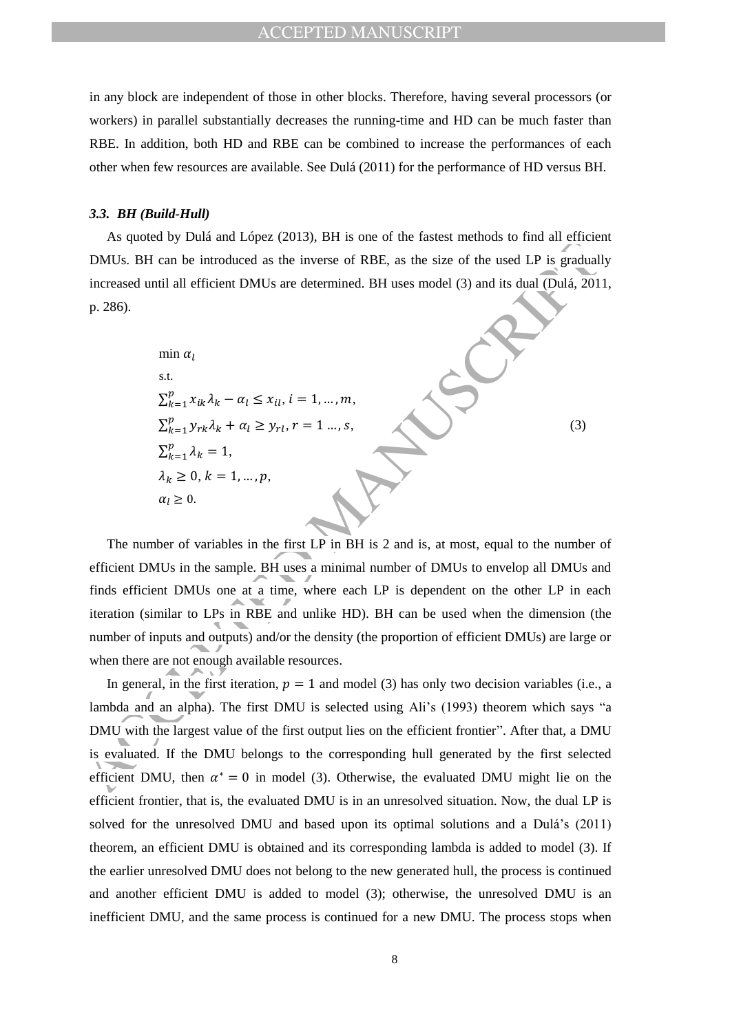in any block are independent of those in other blocks. Therefore, having several processors (or workers) in parallel substantially decreases the running-time and HD can be much faster than RBE. In addition, both HD and RBE can be combined to increase the performances of each other when few resources are available. See Dulá (2011) for the performance of HD versus BH.

#### *3.3. BH (Build-Hull)*

As quoted by Dulá and López (2013), BH is one of the fastest methods to find all efficient DMUs. BH can be introduced as the inverse of RBE, as the size of the used LP is gradually increased until all efficient DMUs are determined. BH uses model (3) and its dual (Dulá, 2011, p. 286).

*u* is quoted by Data and Eopez (2015), *u* is one of the interest methods to find an effect  
\nDMUs. BH can be introduced as the inverse of RBE, as the size of the used LP is gradual  
\nincreased until all efficient DMUs are determined. BH uses model (3) and its dual (Dulá, 201  
\np. 286).  
\nmin 
$$
\alpha_l
$$
  
\ns.t.  
\n
$$
\sum_{k=1}^{p} x_{ik} \lambda_k - \alpha_l \le x_{il}
$$
,  $i = 1,...,m$ ,  
\n
$$
\sum_{k=1}^{p} \lambda_k = 1,
$$
  
\n $\lambda_k \ge 0, k = 1,...,p$ ,  
\n $\alpha_l \ge 0$ .  
\nThe number of variables in the first LP in BH is 2 and is, at most, equal to the number  
\nefficient DMUs in the sample. BH uses a minimal number of DMUs to envelope all DMUs an  
\nfind sufficient DMUs one at a time, where each LP is dependent on the other LP in each  
\niteration (similar to LPs in RBE and unlike HD). BH can be used when the dimension (t  
\nnumber of inputs and outputs) and/or the density (the proportion of efficient DMUs) are large  
\nwhen there are not enough available resources.  
\nIn general, in the first iteration,  $p = 1$  and model (3) has only two decision variables (i.e.,  
\nlambda and an alpha). The first DMU is selected using Ali's (1993) theorem which says  
\nDMU with the largest value of the first output lies on the efficient frontier''. After that, a DM  
\nis evaluated. If the DMU belongs to the corresponding hull generated by the first selected  
\nefficient DMU, then  $\alpha^* = 0$  in model (3). Otherwise, the evaluated DMU might lie on the

The number of variables in the first LP in BH is 2 and is, at most, equal to the number of efficient DMUs in the sample. BH uses a minimal number of DMUs to envelop all DMUs and finds efficient DMUs one at a time, where each LP is dependent on the other LP in each iteration (similar to LPs in RBE and unlike HD). BH can be used when the dimension (the number of inputs and outputs) and/or the density (the proportion of efficient DMUs) are large or when there are not enough available resources.

In general, in the first iteration,  $p = 1$  and model (3) has only two decision variables (i.e., a lambda and an alpha). The first DMU is selected using Ali's (1993) theorem which says "a DMU with the largest value of the first output lies on the efficient frontier". After that, a DMU is evaluated. If the DMU belongs to the corresponding hull generated by the first selected efficient DMU, then  $\alpha^* = 0$  in model (3). Otherwise, the evaluated DMU might lie on the efficient frontier, that is, the evaluated DMU is in an unresolved situation. Now, the dual LP is solved for the unresolved DMU and based upon its optimal solutions and a Dulá's (2011) theorem, an efficient DMU is obtained and its corresponding lambda is added to model (3). If the earlier unresolved DMU does not belong to the new generated hull, the process is continued and another efficient DMU is added to model (3); otherwise, the unresolved DMU is an inefficient DMU, and the same process is continued for a new DMU. The process stops when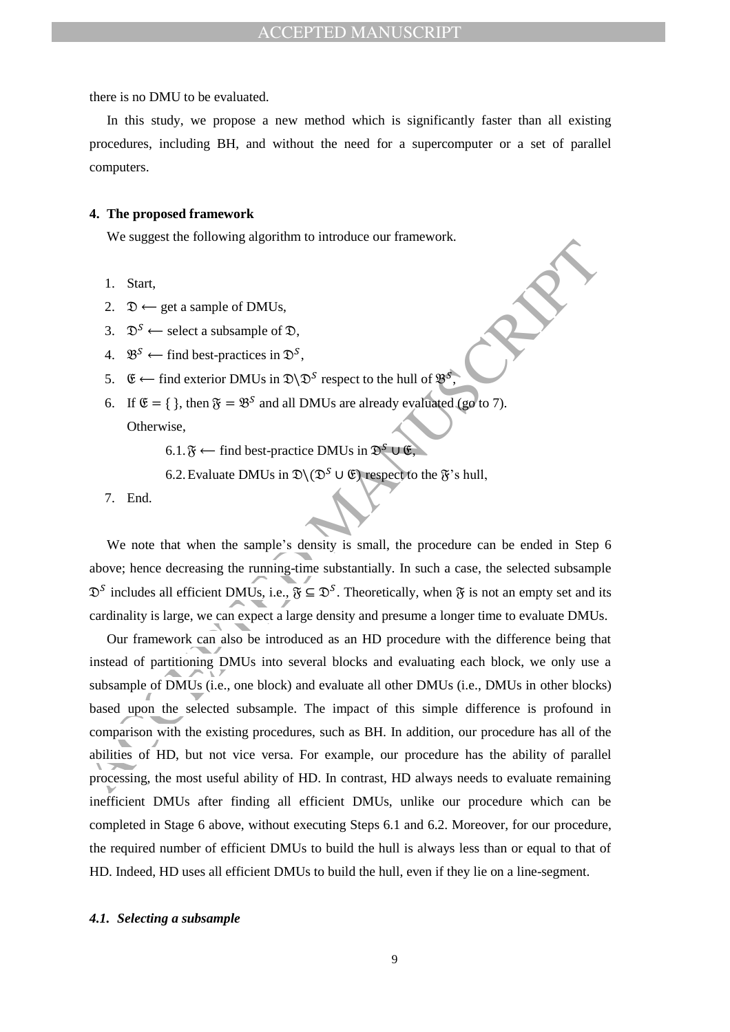there is no DMU to be evaluated.

In this study, we propose a new method which is significantly faster than all existing procedures, including BH, and without the need for a supercomputer or a set of parallel computers.

#### **4. The proposed framework**

We suggest the following algorithm to introduce our framework.

- 1. Start,
- 2.  $\mathfrak{D} \leftarrow$  get a sample of DMUs,
- 3.  $\mathfrak{D}^S \leftarrow$  select a subsample of  $\mathfrak{D}$ .
- 4.  $\mathfrak{B}^S \leftarrow \text{find best-practices in } \mathfrak{D}^S,$
- 5.  $\mathfrak{E} \leftarrow$  find exterior DMUs in  $\mathfrak{D} \backslash \mathfrak{D}^S$  respect to the hull of  $\mathfrak{B}^S$ ,
- 6. If  $\mathfrak{E} = \{\}$ , then  $\mathfrak{F} = \mathfrak{B}^S$  and all DMUs are already evaluated (go to 7). Otherwise,
	- 6.1.  $\mathfrak{F} \leftarrow$  find best-practice DMUs in  $\mathfrak{D}^S \cup \mathfrak{E}$ ,
	- 6.2. Evaluate DMUs in  $\mathfrak{D}(\mathfrak{D}^S \cup \mathfrak{E})$  respect to the  $\mathfrak{F}$ 's hull,
- 7. End.

We note that when the sample's density is small, the procedure can be ended in Step 6 above; hence decreasing the running-time substantially. In such a case, the selected subsample  $\mathfrak{D}^S$  includes all efficient DMUs, i.e.,  $\mathfrak{F} \subseteq \mathfrak{D}^S$ . Theoretically, when  $\mathfrak{F}$  is not an empty set and its cardinality is large, we can expect a large density and presume a longer time to evaluate DMUs.

Access the state of DMUs,<br>
2.  $\mathfrak{D} \leftarrow$  get a sample of DMUs,<br>
3.  $\mathfrak{D}^5 \leftarrow$  select a subsample of DMUs,<br>
4.  $\mathfrak{B}^5 \leftarrow$  find test-practices in  $\mathfrak{D}^5$ ,<br>
6. If  $\mathfrak{E} = \{\}$ , then  $\mathfrak{F} = \mathfrak{B}^5$  and all Our framework can also be introduced as an HD procedure with the difference being that instead of partitioning DMUs into several blocks and evaluating each block, we only use a subsample of DMUs (i.e., one block) and evaluate all other DMUs (i.e., DMUs in other blocks) based upon the selected subsample. The impact of this simple difference is profound in comparison with the existing procedures, such as BH. In addition, our procedure has all of the abilities of HD, but not vice versa. For example, our procedure has the ability of parallel processing, the most useful ability of HD. In contrast, HD always needs to evaluate remaining inefficient DMUs after finding all efficient DMUs, unlike our procedure which can be completed in Stage 6 above, without executing Steps 6.1 and 6.2. Moreover, for our procedure, the required number of efficient DMUs to build the hull is always less than or equal to that of HD. Indeed, HD uses all efficient DMUs to build the hull, even if they lie on a line-segment.

#### *4.1. Selecting a subsample*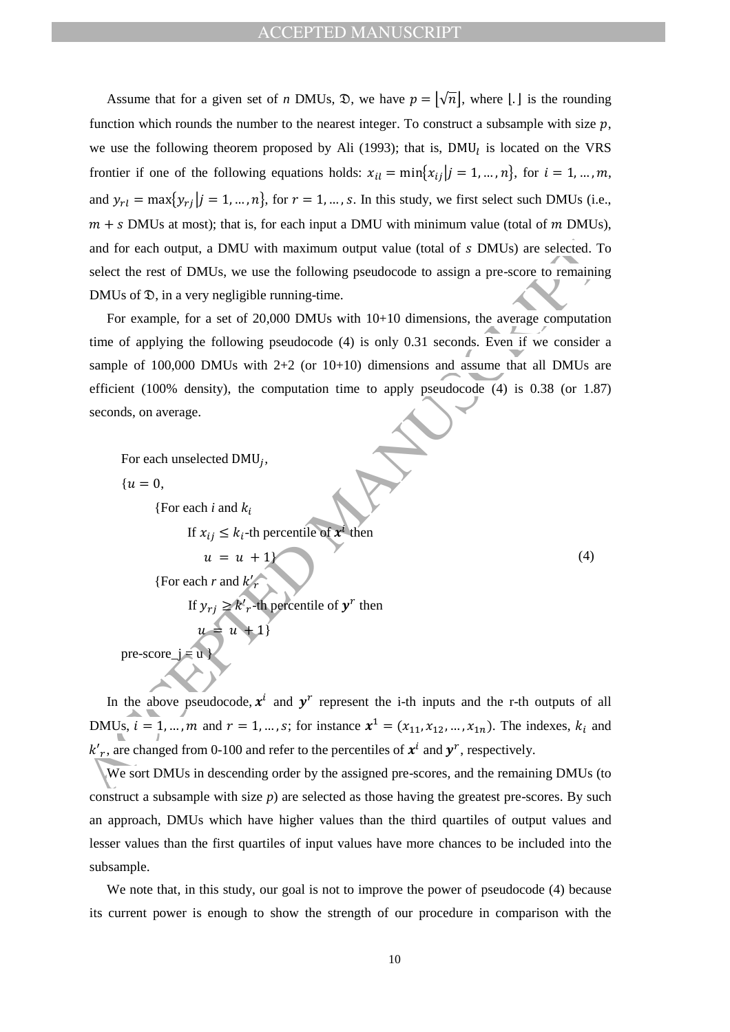Assume that for a given set of *n* DMUs,  $\mathcal{D}$ , we have  $p = |\sqrt{n}|$ , where  $| \cdot |$  is the rounding function which rounds the number to the nearest integer. To construct a subsample with size  $p$ , we use the following theorem proposed by Ali (1993); that is,  $DMU_l$  is located on the VRS frontier if one of the following equations holds:  $x_{il} = \min\{x_{ij} | j = 1, ..., n\}$ , for  $i = 1, ..., m$ , and  $y_{rl} = \max\{y_{rj} | j = 1, ..., n\}$ , for  $r = 1, ..., s$ . In this study, we first select such DMUs (i.e.,  $m + s$  DMUs at most); that is, for each input a DMU with minimum value (total of m DMUs), and for each output, a DMU with maximum output value (total of  $s$  DMUs) are selected. To select the rest of DMUs, we use the following pseudocode to assign a pre-score to remaining DMUs of  $\mathfrak{D}$ , in a very negligible running-time.

and for each output, a DMU with maximum output value (total of *s* DMUs) are selected. T<br>select the rest of DMUs, we use the following pseudocode to assign a pre-score to remaining<br>DMUs of D, in a very negligible running-For example, for a set of 20,000 DMUs with 10+10 dimensions, the average computation time of applying the following pseudocode (4) is only 0.31 seconds. Even if we consider a sample of 100,000 DMUs with  $2+2$  (or 10+10) dimensions and assume that all DMUs are efficient (100% density), the computation time to apply pseudocode (4) is 0.38 (or 1.87) seconds, on average.

For each unselected DMU<sub>i</sub>,

 $\{u = 0,$ 

pre-score  $j = u$ 

{For each  $i$  and  $k_i$ }

{For each  $r$  and  $k'_r$ 

 $u = u + 1$ 

 $u = u + 1$ 

If  $x_{ij} \leq k_i$ -th percentile of  $x^i$  then

If  $y_{ri} \geq k'_r$ -th percentile of  $y^r$  then

(4)

In the above pseudocode,  $x^i$  and  $y^r$  represent the i-th inputs and the r-th outputs of all DMUs,  $i = 1, ..., m$  and  $r = 1, ..., s$ ; for instance  $x^1 = (x_{11}, x_{12}, ..., x_{1n})$ . The indexes,  $k_i$  and  $k'_r$ , are changed from 0-100 and refer to the percentiles of  $x^i$  and  $y^r$ , respectively.

We sort DMUs in descending order by the assigned pre-scores, and the remaining DMUs (to construct a subsample with size  $p$ ) are selected as those having the greatest pre-scores. By such an approach, DMUs which have higher values than the third quartiles of output values and lesser values than the first quartiles of input values have more chances to be included into the subsample.

We note that, in this study, our goal is not to improve the power of pseudocode (4) because its current power is enough to show the strength of our procedure in comparison with the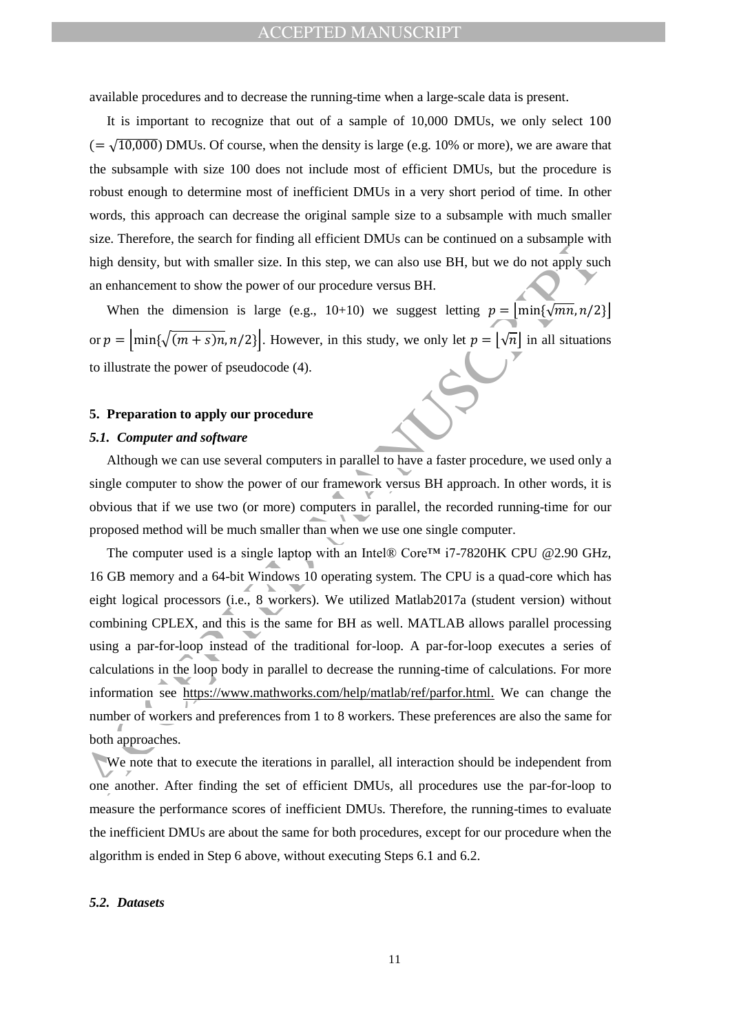available procedures and to decrease the running-time when a large-scale data is present.

It is important to recognize that out of a sample of 10,000 DMUs, we only select 100  $(=\sqrt{10,000})$  DMUs. Of course, when the density is large (e.g. 10% or more), we are aware that the subsample with size 100 does not include most of efficient DMUs, but the procedure is robust enough to determine most of inefficient DMUs in a very short period of time. In other words, this approach can decrease the original sample size to a subsample with much smaller size. Therefore, the search for finding all efficient DMUs can be continued on a subsample with high density, but with smaller size. In this step, we can also use BH, but we do not apply such an enhancement to show the power of our procedure versus BH.

When the dimension is large (e.g., 10+10) we suggest letting  $p = |min{\sqrt{mn}, n/2}|$ or  $p = \left| \min\{\sqrt{(m+s)n}, n/2\} \right|$ . However, in this study, we only let  $p = \left| \sqrt{n} \right|$  in all situations to illustrate the power of pseudocode (4).

#### **5. Preparation to apply our procedure**

#### *5.1. Computer and software*

Although we can use several computers in parallel to have a faster procedure, we used only a single computer to show the power of our framework versus BH approach. In other words, it is obvious that if we use two (or more) computers in parallel, the recorded running-time for our proposed method will be much smaller than when we use one single computer.

Size: meeting on the seater to many an entitient brows can be confining to an above only substitute the dimension is targe (e.g., 10+10) we suggest letting  $p = \left[\min\{\sqrt{mn}, n/2\}\right]$ .<br>
When the dimension is large (e.g., 10+10) The computer used is a single laptop with an Intel® Core™ i7-7820HK CPU @2.90 GHz, 16 GB memory and a 64-bit Windows 10 operating system. The CPU is a quad-core which has eight logical processors (i.e., 8 workers). We utilized Matlab2017a (student version) without combining CPLEX, and this is the same for BH as well. MATLAB allows parallel processing using a par-for-loop instead of the traditional for-loop. A par-for-loop executes a series of calculations in the loop body in parallel to decrease the running-time of calculations. For more information see https://www.mathworks.com/help/matlab/ref/parfor.html. We can change the number of workers and preferences from 1 to 8 workers. These preferences are also the same for both approaches.

We note that to execute the iterations in parallel, all interaction should be independent from one another. After finding the set of efficient DMUs, all procedures use the par-for-loop to measure the performance scores of inefficient DMUs. Therefore, the running-times to evaluate the inefficient DMUs are about the same for both procedures, except for our procedure when the algorithm is ended in Step 6 above, without executing Steps 6.1 and 6.2.

#### *5.2. Datasets*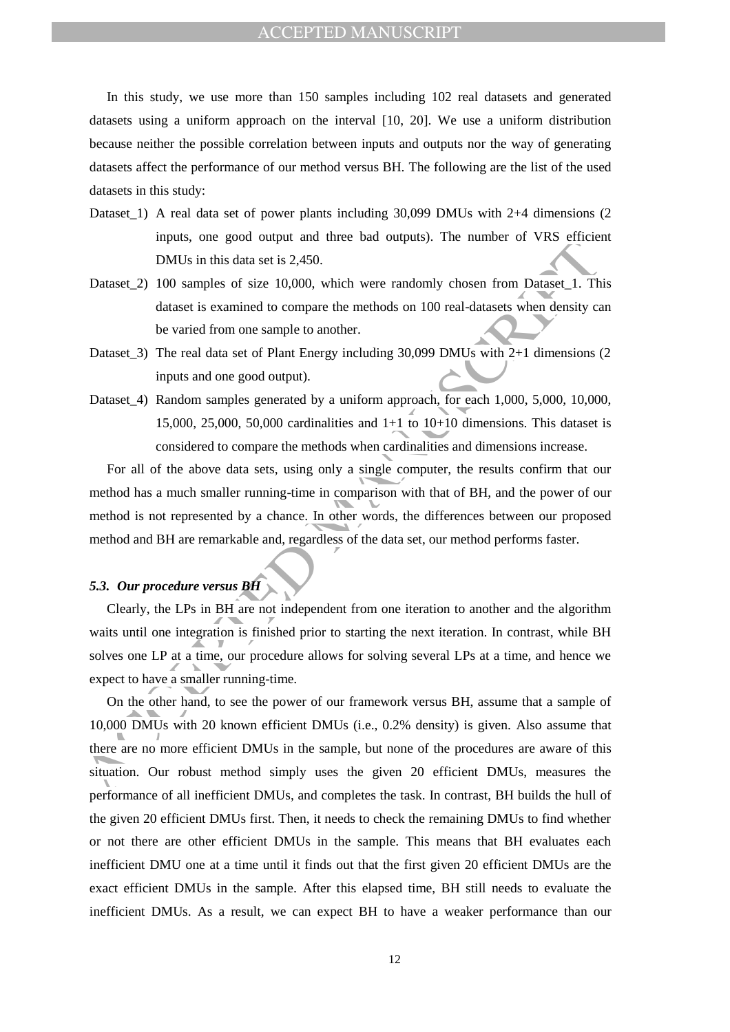ACCEPTED MANUSCRIPT

In this study, we use more than 150 samples including 102 real datasets and generated datasets using a uniform approach on the interval [10, 20]. We use a uniform distribution because neither the possible correlation between inputs and outputs nor the way of generating datasets affect the performance of our method versus BH. The following are the list of the used datasets in this study:

- Dataset 1) A real data set of power plants including 30,099 DMUs with 2+4 dimensions (2) inputs, one good output and three bad outputs). The number of VRS efficient DMUs in this data set is 2,450.
- Dataset<sub>2</sub>) 100 samples of size 10,000, which were randomly chosen from Dataset<sub>1</sub>. This dataset is examined to compare the methods on 100 real-datasets when density can be varied from one sample to another.
- Dataset\_3) The real data set of Plant Energy including 30,099 DMUs with 2+1 dimensions (2 inputs and one good output).
- Dataset\_4) Random samples generated by a uniform approach, for each 1,000, 5,000, 10,000, 15,000, 25,000, 50,000 cardinalities and  $1+1$  to  $10+10$  dimensions. This dataset is considered to compare the methods when cardinalities and dimensions increase.

For all of the above data sets, using only a single computer, the results confirm that our method has a much smaller running-time in comparison with that of BH, and the power of our method is not represented by a chance. In other words, the differences between our proposed method and BH are remarkable and, regardless of the data set, our method performs faster.

#### *5.3. Our procedure versus BH*

Clearly, the LPs in BH are not independent from one iteration to another and the algorithm waits until one integration is finished prior to starting the next iteration. In contrast, while BH solves one LP at a time, our procedure allows for solving several LPs at a time, and hence we expect to have a smaller running-time.

DMUs in this data set is 2.450.<br>
DMUs in this data set is 2.450.<br>
DMUs in this data set is 2.450.<br>
Dataset\_2) 100 samples of size 10.000, which were randomly chosen from Dataset\_1. The<br>
dataset is examined to compare the On the other hand, to see the power of our framework versus BH, assume that a sample of 10,000 DMUs with 20 known efficient DMUs (i.e., 0.2% density) is given. Also assume that there are no more efficient DMUs in the sample, but none of the procedures are aware of this situation. Our robust method simply uses the given 20 efficient DMUs, measures the performance of all inefficient DMUs, and completes the task. In contrast, BH builds the hull of the given 20 efficient DMUs first. Then, it needs to check the remaining DMUs to find whether or not there are other efficient DMUs in the sample. This means that BH evaluates each inefficient DMU one at a time until it finds out that the first given 20 efficient DMUs are the exact efficient DMUs in the sample. After this elapsed time, BH still needs to evaluate the inefficient DMUs. As a result, we can expect BH to have a weaker performance than our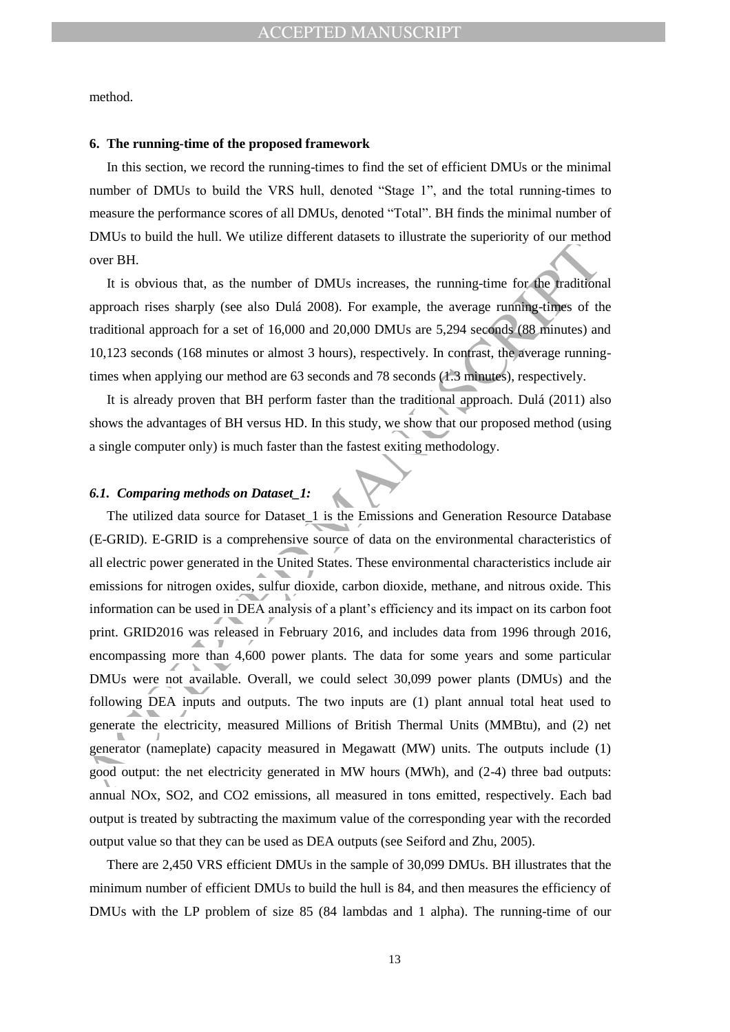method.

#### **6. The running-time of the proposed framework**

In this section, we record the running-times to find the set of efficient DMUs or the minimal number of DMUs to build the VRS hull, denoted "Stage 1", and the total running-times to measure the performance scores of all DMUs, denoted "Total". BH finds the minimal number of DMUs to build the hull. We utilize different datasets to illustrate the superiority of our method over BH.

It is obvious that, as the number of DMUs increases, the running-time for the traditional approach rises sharply (see also Dulá 2008). For example, the average running-times of the traditional approach for a set of 16,000 and 20,000 DMUs are 5,294 seconds (88 minutes) and 10,123 seconds (168 minutes or almost 3 hours), respectively. In contrast, the average runningtimes when applying our method are 63 seconds and 78 seconds (1.3 minutes), respectively.

It is already proven that BH perform faster than the traditional approach. Dulá (2011) also shows the advantages of BH versus HD. In this study, we show that our proposed method (using a single computer only) is much faster than the fastest exiting methodology.

#### *6.1. Comparing methods on Dataset\_1:*

Let the other was the number of DMUs increases of measure are appending on our DHL<br>
were BH.<br>
It is obvious that, as the number of DMUs increases, the running-time for the mathifon<br>
approach rises sharply (see also Dulá 2 The utilized data source for Dataset\_1 is the Emissions and Generation Resource Database (E-GRID). E-GRID is a comprehensive source of data on the environmental characteristics of all electric power generated in the United States. These environmental characteristics include air emissions for nitrogen oxides, sulfur dioxide, carbon dioxide, methane, and nitrous oxide. This information can be used in DEA analysis of a plant's efficiency and its impact on its carbon foot print. GRID2016 was released in February 2016, and includes data from 1996 through 2016, encompassing more than 4,600 power plants. The data for some years and some particular DMUs were not available. Overall, we could select 30,099 power plants (DMUs) and the following DEA inputs and outputs. The two inputs are (1) plant annual total heat used to generate the electricity, measured Millions of British Thermal Units (MMBtu), and (2) net generator (nameplate) capacity measured in Megawatt (MW) units. The outputs include (1) good output: the net electricity generated in MW hours (MWh), and (2-4) three bad outputs: annual NOx, SO2, and CO2 emissions, all measured in tons emitted, respectively. Each bad output is treated by subtracting the maximum value of the corresponding year with the recorded output value so that they can be used as DEA outputs (see Seiford and Zhu, 2005).

There are 2,450 VRS efficient DMUs in the sample of 30,099 DMUs. BH illustrates that the minimum number of efficient DMUs to build the hull is 84, and then measures the efficiency of DMUs with the LP problem of size 85 (84 lambdas and 1 alpha). The running-time of our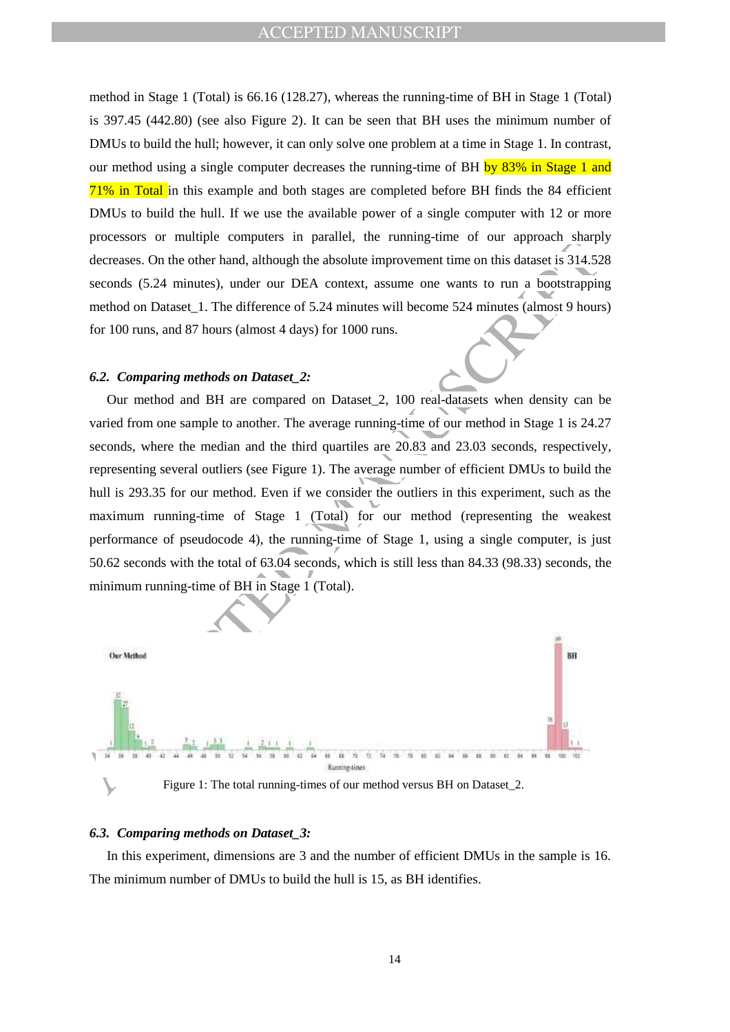method in Stage 1 (Total) is 66.16 (128.27), whereas the running-time of BH in Stage 1 (Total) is 397.45 (442.80) (see also Figure 2). It can be seen that BH uses the minimum number of DMUs to build the hull; however, it can only solve one problem at a time in Stage 1. In contrast, our method using a single computer decreases the running-time of BH by 83% in Stage 1 and 71% in Total in this example and both stages are completed before BH finds the 84 efficient DMUs to build the hull. If we use the available power of a single computer with 12 or more processors or multiple computers in parallel, the running-time of our approach sharply decreases. On the other hand, although the absolute improvement time on this dataset is 314.528 seconds (5.24 minutes), under our DEA context, assume one wants to run a bootstrapping method on Dataset\_1. The difference of 5.24 minutes will become 524 minutes (almost 9 hours) for 100 runs, and 87 hours (almost 4 days) for 1000 runs.

#### *6.2. Comparing methods on Dataset\_2:*

processes on mannipe to method and particular in the community can be community and the state of the state of the state of the state of the state of the state of the state of the state of the state of the state of the sta Our method and BH are compared on Dataset\_2, 100 real-datasets when density can be varied from one sample to another. The average running-time of our method in Stage 1 is 24.27 seconds, where the median and the third quartiles are 20.83 and 23.03 seconds, respectively, representing several outliers (see Figure 1). The average number of efficient DMUs to build the hull is 293.35 for our method. Even if we consider the outliers in this experiment, such as the maximum running-time of Stage 1 (Total) for our method (representing the weakest performance of pseudocode 4), the running-time of Stage 1, using a single computer, is just 50.62 seconds with the total of 63.04 seconds, which is still less than 84.33 (98.33) seconds, the minimum running-time of BH in Stage 1 (Total).



Figure 1: The total running-times of our method versus BH on Dataset\_2.

### *6.3. Comparing methods on Dataset\_3:*

In this experiment, dimensions are 3 and the number of efficient DMUs in the sample is 16. The minimum number of DMUs to build the hull is 15, as BH identifies.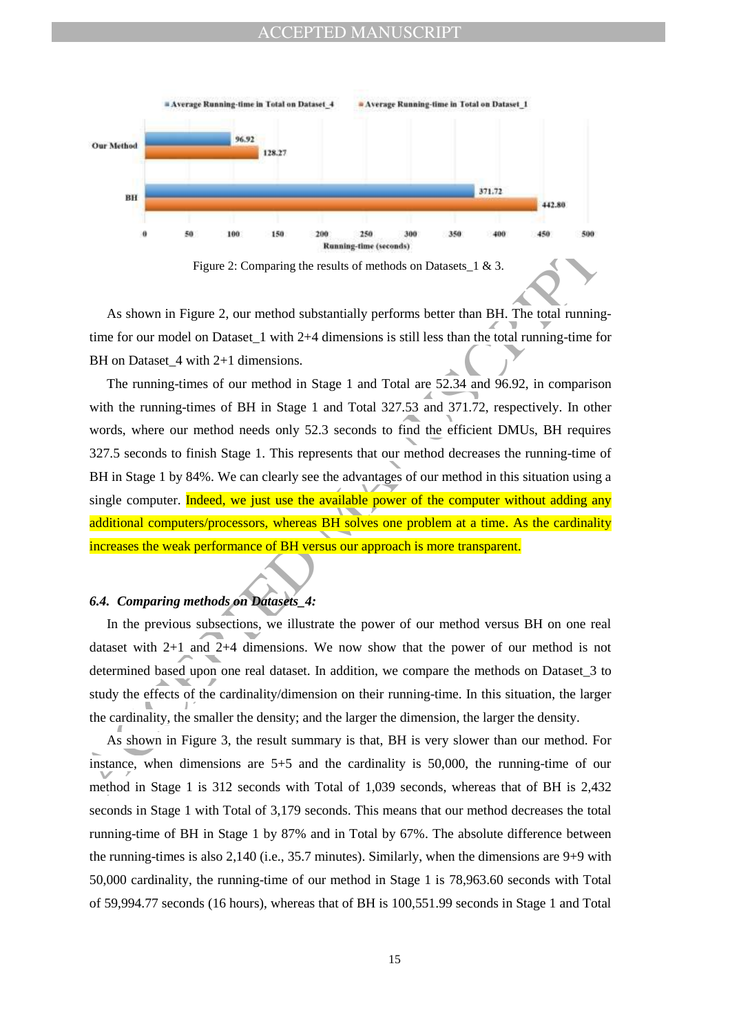### ACCEPTED MANUSCRIPT





As shown in Figure 2, our method substantially performs better than BH. The total runningtime for our model on Dataset\_1 with 2+4 dimensions is still less than the total running-time for BH on Dataset 4 with 2+1 dimensions.

**Example the results of methods** on Datasets\_1 & 3.<br>
As shown in Figure 2: Comparing the results of methods on Datasets\_1 & 3.<br>
As shown in Figure 2, our method substantially performs better than BH. The total running-<br>
f The running-times of our method in Stage 1 and Total are 52.34 and 96.92, in comparison with the running-times of BH in Stage 1 and Total 327.53 and 371.72, respectively. In other words, where our method needs only 52.3 seconds to find the efficient DMUs, BH requires 327.5 seconds to finish Stage 1. This represents that our method decreases the running-time of BH in Stage 1 by 84%. We can clearly see the advantages of our method in this situation using a single computer. Indeed, we just use the available power of the computer without adding any additional computers/processors, whereas BH solves one problem at a time. As the cardinality increases the weak performance of BH versus our approach is more transparent.

## *6.4. Comparing methods on Datasets\_4:*

In the previous subsections, we illustrate the power of our method versus BH on one real dataset with 2+1 and 2+4 dimensions. We now show that the power of our method is not determined based upon one real dataset. In addition, we compare the methods on Dataset\_3 to study the effects of the cardinality/dimension on their running-time. In this situation, the larger the cardinality, the smaller the density; and the larger the dimension, the larger the density.

As shown in Figure 3, the result summary is that, BH is very slower than our method. For instance, when dimensions are 5+5 and the cardinality is 50,000, the running-time of our method in Stage 1 is 312 seconds with Total of 1,039 seconds, whereas that of BH is 2,432 seconds in Stage 1 with Total of 3,179 seconds. This means that our method decreases the total running-time of BH in Stage 1 by 87% and in Total by 67%. The absolute difference between the running-times is also 2,140 (i.e., 35.7 minutes). Similarly, when the dimensions are 9+9 with 50,000 cardinality, the running-time of our method in Stage 1 is 78,963.60 seconds with Total of 59,994.77 seconds (16 hours), whereas that of BH is 100,551.99 seconds in Stage 1 and Total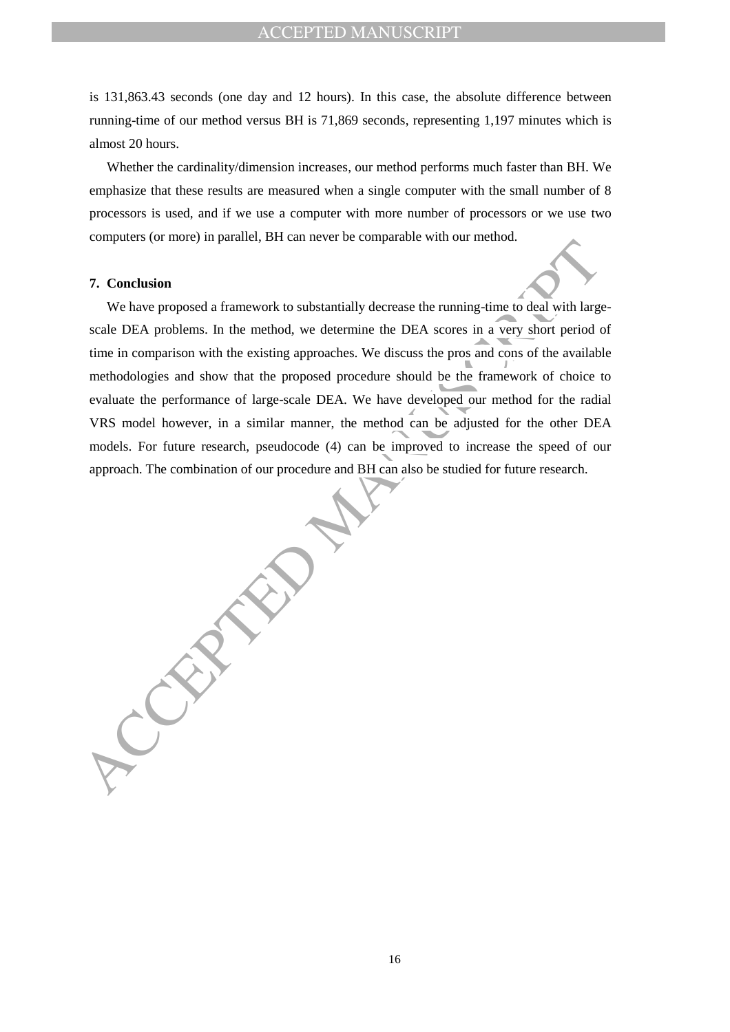is 131,863.43 seconds (one day and 12 hours). In this case, the absolute difference between running-time of our method versus BH is 71,869 seconds, representing 1,197 minutes which is almost 20 hours.

Whether the cardinality/dimension increases, our method performs much faster than BH. We emphasize that these results are measured when a single computer with the small number of 8 processors is used, and if we use a computer with more number of processors or we use two computers (or more) in parallel, BH can never be comparable with our method.

#### **7. Conclusion**

7. Conclusion<br>
We have proposed a framework to substantially decrease the numing-time to deal with large<br>
scale DEA problems. In the method, we determine the DEA scores in a very short period time<br>
in comparison with the e We have proposed a framework to substantially decrease the running-time to deal with largescale DEA problems. In the method, we determine the DEA scores in a very short period of time in comparison with the existing approaches. We discuss the pros and cons of the available methodologies and show that the proposed procedure should be the framework of choice to evaluate the performance of large-scale DEA. We have developed our method for the radial VRS model however, in a similar manner, the method can be adjusted for the other DEA models. For future research, pseudocode (4) can be improved to increase the speed of our approach. The combination of our procedure and BH can also be studied for future research.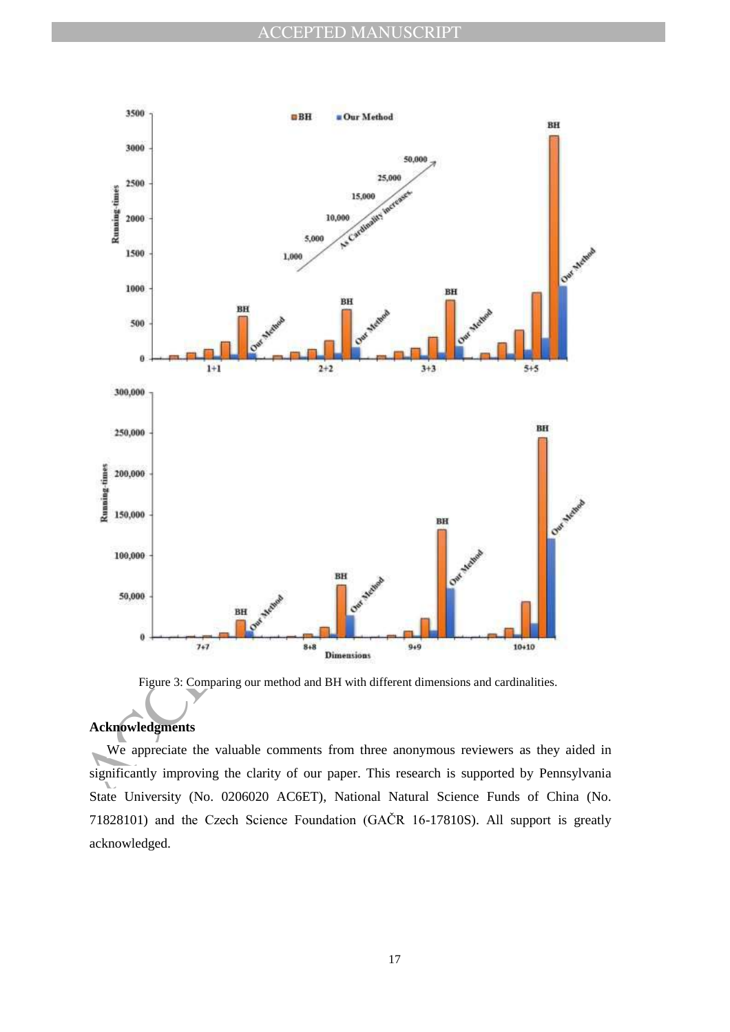

Figure 3: Comparing our method and BH with different dimensions and cardinalities.

## **Acknowledgments**

We appreciate the valuable comments from three anonymous reviewers as they aided in significantly improving the clarity of our paper. This research is supported by Pennsylvania State University (No. 0206020 AC6ET), National Natural Science Funds of China (No. 71828101) and the Czech Science Foundation (GAČR 16-17810S). All support is greatly acknowledged.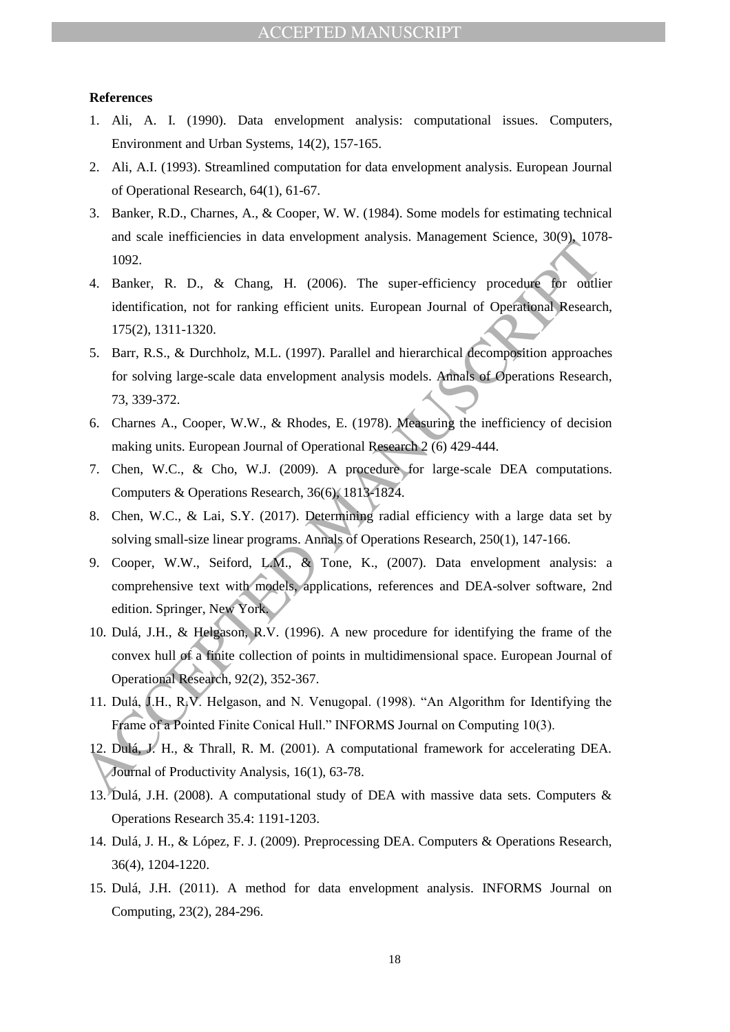#### **References**

- 1. Ali, A. I. (1990). Data envelopment analysis: computational issues. Computers, Environment and Urban Systems, 14(2), 157-165.
- 2. Ali, A.I. (1993). Streamlined computation for data envelopment analysis. European Journal of Operational Research, 64(1), 61-67.
- 3. Banker, R.D., Charnes, A., & Cooper, W. W. (1984). Some models for estimating technical and scale inefficiencies in data envelopment analysis. Management Science, 30(9), 1078- 1092.
- 4. Banker, R. D., & Chang, H. (2006). The super-efficiency procedure for outlier identification, not for ranking efficient units. European Journal of Operational Research, 175(2), 1311-1320.
- 5. Barr, R.S., & Durchholz, M.L. (1997). Parallel and hierarchical decomposition approaches for solving large-scale data envelopment analysis models. Annals of Operations Research, 73, 339-372.
- 6. Charnes A., Cooper, W.W., & Rhodes, E. (1978). Measuring the inefficiency of decision making units. European Journal of Operational Research 2 (6) 429-444.
- 7. Chen, W.C., & Cho, W.J. (2009). A procedure for large-scale DEA computations. Computers & Operations Research, 36(6), 1813-1824.
- 8. Chen, W.C., & Lai, S.Y. (2017). Determining radial efficiency with a large data set by solving small-size linear programs. Annals of Operations Research, 250(1), 147-166.
- and Scheme Manufactured in other dependent unarysis. Parangement occasion of Operations (1992)<br>
1992.<br>
4. Banker, R. D., & Chang, H. (2006). The super-efficiency procedure for orditional<br>
identification, not for ranking ef 9. Cooper, W.W., Seiford, L.M., & Tone, K., (2007). Data envelopment analysis: a comprehensive text with models, applications, references and DEA-solver software, 2nd edition. Springer, New York.
	- 10. Dulá, J.H., & Helgason, R.V. (1996). A new procedure for identifying the frame of the convex hull of a finite collection of points in multidimensional space. European Journal of Operational Research, 92(2), 352-367.
	- 11. Dulá, J.H., R.V. Helgason, and N. Venugopal. (1998). "An Algorithm for Identifying the Frame of a Pointed Finite Conical Hull." INFORMS Journal on Computing 10(3).
	- 12. Dulá, J. H., & Thrall, R. M. (2001). A computational framework for accelerating DEA. Journal of Productivity Analysis, 16(1), 63-78.
	- 13. Dulá, J.H. (2008). A computational study of DEA with massive data sets. Computers & Operations Research 35.4: 1191-1203.
	- 14. Dulá, J. H., & López, F. J. (2009). Preprocessing DEA. Computers & Operations Research, 36(4), 1204-1220.
	- 15. Dulá, J.H. (2011). A method for data envelopment analysis. INFORMS Journal on Computing, 23(2), 284-296.